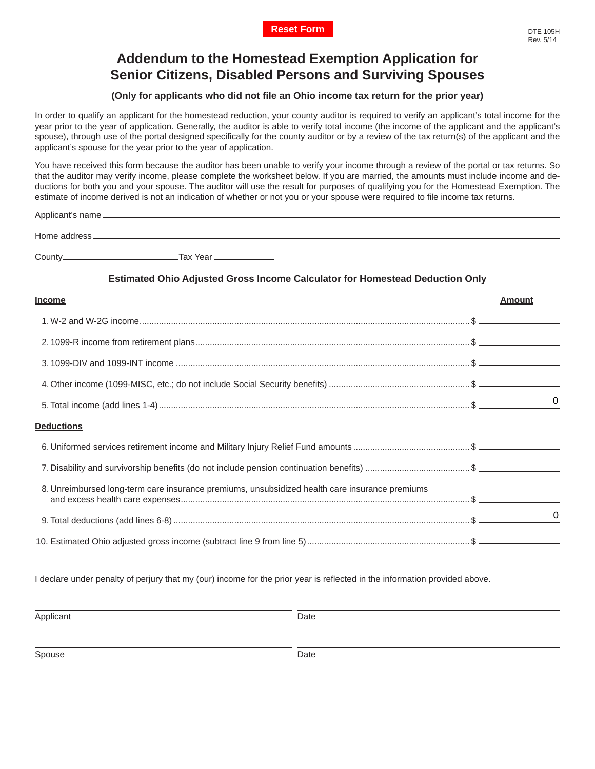# **Addendum to the Homestead Exemption Application for Senior Citizens, Disabled Persons and Surviving Spouses**

## **(Only for applicants who did not file an Ohio income tax return for the prior year)**

In order to qualify an applicant for the homestead reduction, your county auditor is required to verify an applicant's total income for the year prior to the year of application. Generally, the auditor is able to verify total income (the income of the applicant and the applicant's spouse), through use of the portal designed specifically for the county auditor or by a review of the tax return(s) of the applicant and the applicant's spouse for the year prior to the year of application.

You have received this form because the auditor has been unable to verify your income through a review of the portal or tax returns. So that the auditor may verify income, please complete the worksheet below. If you are married, the amounts must include income and deductions for both you and your spouse. The auditor will use the result for purposes of qualifying you for the Homestead Exemption. The estimate of income derived is not an indication of whether or not you or your spouse were required to file income tax returns.

| Home address_ |                         |
|---------------|-------------------------|
| County_       | . Тах Year ____________ |

### **Estimated Ohio Adjusted Gross Income Calculator for Homestead Deduction Only**

| <b>Income</b>                                                                                  | Amount |
|------------------------------------------------------------------------------------------------|--------|
|                                                                                                |        |
|                                                                                                |        |
|                                                                                                |        |
|                                                                                                |        |
|                                                                                                | 0      |
| <b>Deductions</b>                                                                              |        |
|                                                                                                |        |
|                                                                                                |        |
| 8. Unreimbursed long-term care insurance premiums, unsubsidized health care insurance premiums |        |
|                                                                                                | 0      |
|                                                                                                |        |

I declare under penalty of perjury that my (our) income for the prior year is reflected in the information provided above.

Applicant Date

Spouse Date Date Date Date